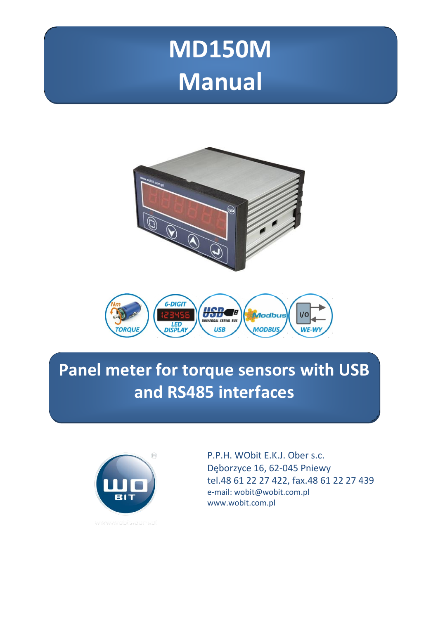# **MD150M Manual**





# **Panel meter for torque sensors with USB and RS485 interfaces**



P.P.H. WObit E.K.J. Ober s.c. Dęborzyce 16, 62-045 Pniewy tel.48 61 22 27 422, fax.48 61 22 27 439 e-mail: wobit@wobit.com.pl www.wobit.com.pl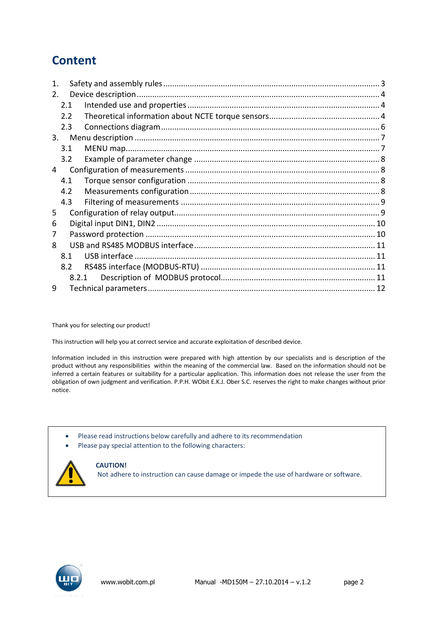### **Content**

| 1.             |     |       |  |  |  |  |
|----------------|-----|-------|--|--|--|--|
| 2 <sub>1</sub> |     |       |  |  |  |  |
|                | 2.1 |       |  |  |  |  |
|                | 2.2 |       |  |  |  |  |
|                | 2.3 |       |  |  |  |  |
| 3.             |     |       |  |  |  |  |
|                | 3.1 |       |  |  |  |  |
|                | 3.2 |       |  |  |  |  |
| 4              |     |       |  |  |  |  |
|                | 4.1 |       |  |  |  |  |
|                | 4.2 |       |  |  |  |  |
|                | 4.3 |       |  |  |  |  |
| 5              |     |       |  |  |  |  |
| 6              |     |       |  |  |  |  |
| 7              |     |       |  |  |  |  |
| 8              |     |       |  |  |  |  |
|                | 8.1 |       |  |  |  |  |
|                | 8.2 |       |  |  |  |  |
|                |     | 8.2.1 |  |  |  |  |
| 9              |     |       |  |  |  |  |

Thank you for selecting our product!

This instruction will help you at correct service and accurate exploitation of described device.

Information included in this instruction were prepared with high attention by our specialists and is description of the product without any responsibilities within the meaning of the commercial law. Based on the information should not be inferred a certain features or suitability for a particular application. This information does not release the user from the obligation of own judgment and verification. P.P.H. WObit E.K.J. Ober S.C. reserves the right to make changes without prior notice.

- Please read instructions below carefully and adhere to its recommendation
- Please pay special attention to the following characters:



#### **CAUTION!**

Not adhere to instruction can cause damage or impede the use of hardware or software.

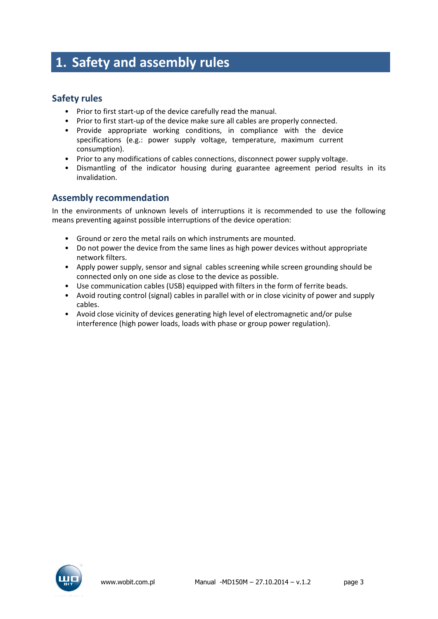### <span id="page-2-0"></span>**1. Safety and assembly rules**

#### **Safety rules**

- Prior to first start-up of the device carefully read the manual.
- Prior to first start-up of the device make sure all cables are properly connected.
- Provide appropriate working conditions, in compliance with the device specifications (e.g.: power supply voltage, temperature, maximum current consumption).
- Prior to any modifications of cables connections, disconnect power supply voltage.
- Dismantling of the indicator housing during guarantee agreement period results in its invalidation.

#### **Assembly recommendation**

In the environments of unknown levels of interruptions it is recommended to use the following means preventing against possible interruptions of the device operation:

- Ground or zero the metal rails on which instruments are mounted.
- Do not power the device from the same lines as high power devices without appropriate network filters.
- Apply power supply, sensor and signal cables screening while screen grounding should be connected only on one side as close to the device as possible.
- Use communication cables (USB) equipped with filters in the form of ferrite beads.
- Avoid routing control (signal) cables in parallel with or in close vicinity of power and supply cables.
- Avoid close vicinity of devices generating high level of electromagnetic and/or pulse interference (high power loads, loads with phase or group power regulation).

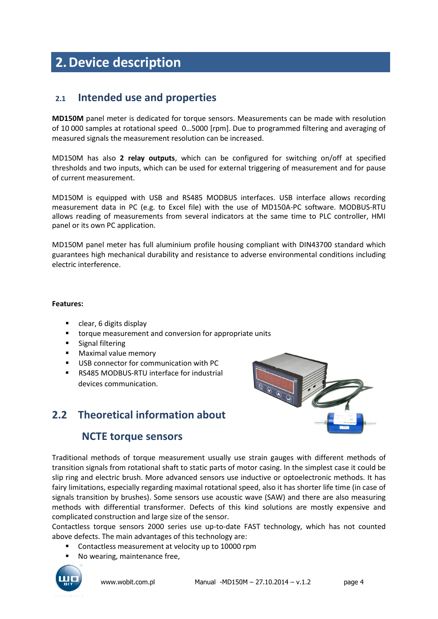# <span id="page-3-0"></span>**2.Device description**

#### <span id="page-3-1"></span>**2.1 Intended use and properties**

**MD150M** panel meter is dedicated for torque sensors. Measurements can be made with resolution of 10 000 samples at rotational speed 0…5000 [rpm]. Due to programmed filtering and averaging of measured signals the measurement resolution can be increased.

MD150M has also **2 relay outputs**, which can be configured for switching on/off at specified thresholds and two inputs, which can be used for external triggering of measurement and for pause of current measurement.

MD150M is equipped with USB and RS485 MODBUS interfaces. USB interface allows recording measurement data in PC (e.g. to Excel file) with the use of MD150A-PC software. MODBUS-RTU allows reading of measurements from several indicators at the same time to PLC controller, HMI panel or its own PC application.

MD150M panel meter has full aluminium profile housing compliant with DIN43700 standard which guarantees high mechanical durability and resistance to adverse environmental conditions including electric interference.

#### **Features:**

- **Clear, 6 digits display**
- **tiorque measurement and conversion for appropriate units**
- **Signal filtering**
- **Maximal value memory**
- USB connector for communication with PC
- RS485 MODBUS-RTU interface for industrial devices communication.

### <span id="page-3-2"></span>**2.2 Theoretical information about**

#### **NCTE torque sensors**



Traditional methods of torque measurement usually use strain gauges with different methods of transition signals from rotational shaft to static parts of motor casing. In the simplest case it could be slip ring and electric brush. More advanced sensors use inductive or optoelectronic methods. It has fairy limitations, especially regarding maximal rotational speed, also it has shorter life time (in case of signals transition by brushes). Some sensors use acoustic wave (SAW) and there are also measuring methods with differential transformer. Defects of this kind solutions are mostly expensive and complicated construction and large size of the sensor.

Contactless torque sensors 2000 series use up-to-date FAST technology, which has not counted above defects. The main advantages of this technology are:

- **Contactless measurement at velocity up to 10000 rpm**
- No wearing, maintenance free,

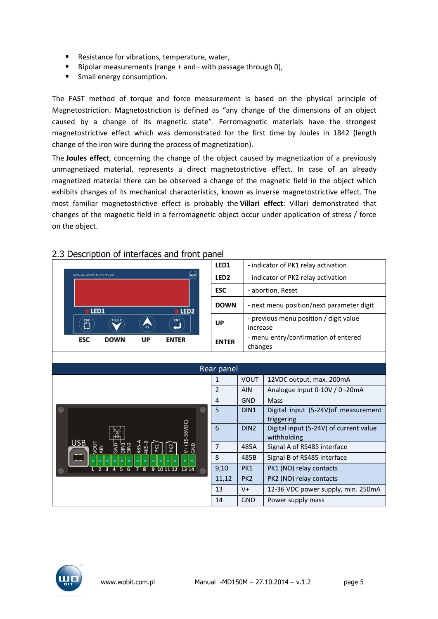- **Resistance for vibrations, temperature, water,**
- Bipolar measurements (range  $+$  and  $-$  with passage through 0),
- **Small energy consumption.**

The FAST method of torque and force measurement is based on the physical principle of Magnetostriction. Magnetostriction is defined as "any change of the dimensions of an object caused by a change of its magnetic state". Ferromagnetic materials have the strongest magnetostrictive effect which was demonstrated for the first time by Joules in 1842 (length change of the iron wire during the process of magnetization).

The **Joules effect**, concerning the change of the object caused by magnetization of a previously unmagnetized material, represents a direct magnetostrictive effect. In case of an already magnetized material there can be observed a change of the magnetic field in the object which exhibits changes of its mechanical characteristics, known as inverse magnetostrictive effect. The most familiar magnetostrictive effect is probably the **Villari effect**: Villari demonstrated that changes of the magnetic field in a ferromagnetic object occur under application of stress / force on the object.

|                                                                                                                     | LED1             |                  | - indicator of PK1 relay activation                   |  |  |
|---------------------------------------------------------------------------------------------------------------------|------------------|------------------|-------------------------------------------------------|--|--|
| $(\mathbf{u},\mathbf{p})$<br>www.wobit.com.pl                                                                       | LED <sub>2</sub> |                  | - indicator of PK2 relay activation                   |  |  |
|                                                                                                                     | <b>ESC</b>       |                  | - abortion, Reset                                     |  |  |
| LED1<br>LED <sub>2</sub>                                                                                            | <b>DOWN</b>      |                  | - next menu position/next parameter digit             |  |  |
| <b>ENT</b><br>$\overline{\mathbf{C}}$<br><000                                                                       | UP               | increase         | - previous menu position / digit value                |  |  |
| <b>ESC</b><br><b>DOWN</b><br><b>UP</b><br><b>ENTER</b>                                                              | <b>ENTER</b>     |                  | - menu entry/confirmation of entered<br>changes       |  |  |
|                                                                                                                     |                  |                  |                                                       |  |  |
|                                                                                                                     | Rear panel       |                  |                                                       |  |  |
|                                                                                                                     | 1                | <b>VOUT</b>      | 12VDC output, max. 200mA                              |  |  |
|                                                                                                                     | $\overline{2}$   | <b>AIN</b>       | Analogue input 0-10V / 0 -20mA                        |  |  |
|                                                                                                                     | 4                | GND              | Mass                                                  |  |  |
| $V + (15-36VDC)$                                                                                                    |                  | DIN <sub>1</sub> | Digital input (5-24V) of measurement<br>triggering    |  |  |
|                                                                                                                     |                  | DIN <sub>2</sub> | Digital input (5-24V) of current value<br>withholding |  |  |
| <b>USB</b><br>485-A<br>DIN <sub>2</sub><br>GND<br>GND<br>485-1<br>DIN <sub>1</sub><br>PK <sub>2</sub><br>PK1<br>AIN | $\overline{7}$   | 485A             | Signal A of RS485 interface                           |  |  |
| ٠<br>٠                                                                                                              | 8                | 485B             | Signal B of RS485 interface                           |  |  |
| 9101112<br>13 14<br>8                                                                                               | 9,10             | PK1              | PK1 (NO) relay contacts                               |  |  |
|                                                                                                                     | 11,12            | PK <sub>2</sub>  | PK2 (NO) relay contacts                               |  |  |
|                                                                                                                     | 13               | $V +$            | 12-36 VDC power supply, min. 250mA                    |  |  |
|                                                                                                                     | 14               | <b>GND</b>       | Power supply mass                                     |  |  |

#### 2.3 Description of interfaces and front panel

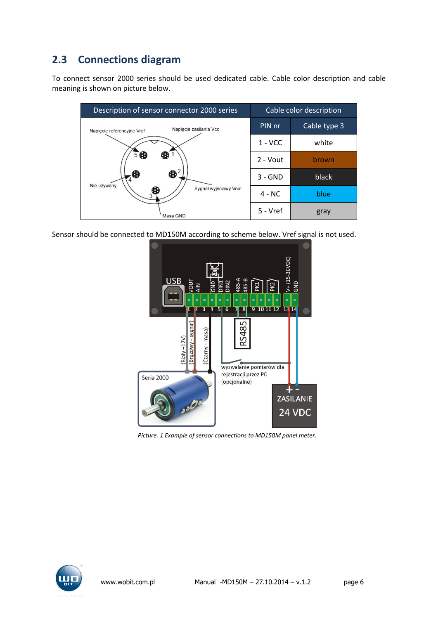### <span id="page-5-0"></span>**2.3 Connections diagram**

To connect sensor 2000 series should be used dedicated cable. Cable color description and cable meaning is shown on picture below.

| Description of sensor connector 2000 series          | Cable color description |              |
|------------------------------------------------------|-------------------------|--------------|
| Napiecie zasilania Vcc<br>Napiecie referencyjne Vref | PIN nr                  | Cable type 3 |
|                                                      | $1 - VCC$               | white        |
| $5$ <sup>6</sup><br>ŒD                               | 2 - Vout                | brown        |
| $\bigoplus$                                          | $3 - GND$               | black        |
| Nie używany<br>Sygnał wyjściowy Vout<br>Œ            | $4 - NC$                | blue         |
| Masa GND                                             | 5 - Vref                | gray         |

Sensor should be connected to MD150M according to scheme below. Vref signal is not used.



*Picture. 1 Example of sensor connections to MD150M panel meter.*

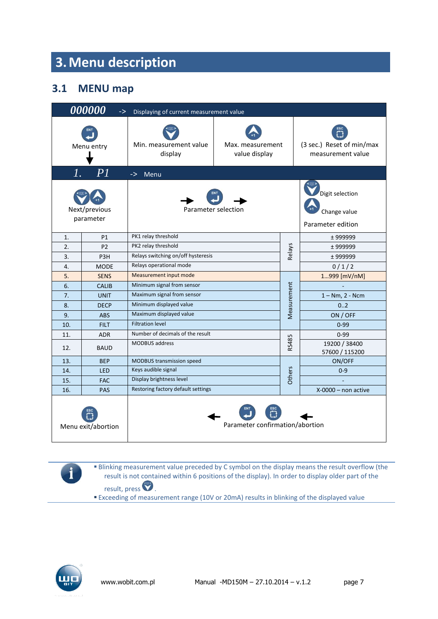# <span id="page-6-0"></span>**3.Menu description**

### <span id="page-6-1"></span>**3.1 MENU map**

|            | 000000<br>$\Rightarrow$    | Displaying of current measurement value   |                                   |                                                      |                                                |  |  |
|------------|----------------------------|-------------------------------------------|-----------------------------------|------------------------------------------------------|------------------------------------------------|--|--|
| Menu entry |                            | Min. measurement value<br>display         | Max. measurement<br>value display |                                                      | (3 sec.) Reset of min/max<br>measurement value |  |  |
| 1.         | PI                         | $\rightarrow$<br>Menu                     |                                   |                                                      |                                                |  |  |
|            | Next/previous<br>parameter | Parameter selection                       |                                   | Digit selection<br>Change value<br>Parameter edition |                                                |  |  |
| 1.         | P1                         | PK1 relay threshold                       |                                   |                                                      | ± 999999                                       |  |  |
| 2.         | P <sub>2</sub>             | PK2 relay threshold                       |                                   |                                                      | $±$ 999999                                     |  |  |
| 3.         | P <sub>3</sub> H           | Relays switching on/off hysteresis        |                                   | Relays                                               | ± 999999                                       |  |  |
| 4.         | <b>MODE</b>                | Relays operational mode                   |                                   |                                                      | 0/1/2                                          |  |  |
| 5.         | <b>SENS</b>                | Measurement input mode                    |                                   |                                                      | 1999 [mV/nM]                                   |  |  |
| 6.         | <b>CALIB</b>               | Minimum signal from sensor                |                                   |                                                      |                                                |  |  |
| 7.         | <b>UNIT</b>                | Measurement<br>Maximum signal from sensor |                                   |                                                      | $1 - Nm$ , $2 - Ncm$                           |  |  |
| 8.         | <b>DECP</b>                | Minimum displayed value                   |                                   |                                                      | 0.2                                            |  |  |
| 9.         | <b>ABS</b>                 | Maximum displayed value                   |                                   |                                                      | ON / OFF                                       |  |  |
| 10.        | <b>FILT</b>                | <b>Filtration level</b>                   |                                   |                                                      | $0 - 99$                                       |  |  |
| 11.        | <b>ADR</b>                 | Number of decimals of the result          |                                   |                                                      | $0 - 99$                                       |  |  |
| 12.        | <b>BAUD</b>                | <b>MODBUS</b> address                     | RS485                             |                                                      |                                                |  |  |
| 13.        | <b>BEP</b>                 | MODBUS transmission speed                 |                                   |                                                      | ON/OFF                                         |  |  |
| 14.        | <b>LED</b>                 | Keys audible signal                       |                                   |                                                      | $0 - 9$                                        |  |  |
| 15.        | <b>FAC</b>                 | <b>Others</b><br>Display brightness level |                                   |                                                      |                                                |  |  |
| 16.        | <b>PAS</b>                 | Restoring factory default settings        |                                   |                                                      | $X-0000$ – non active                          |  |  |
|            | Menu exit/abortion         |                                           | Parameter confirmation/abortion   |                                                      |                                                |  |  |

**Blinking measurement value preceded by C symbol on the display means the result overflow (the** result is not contained within 6 positions of the display). In order to display older part of the result, press  $\bullet$ .

Exceeding of measurement range (10V or 20mA) results in blinking of the displayed value



i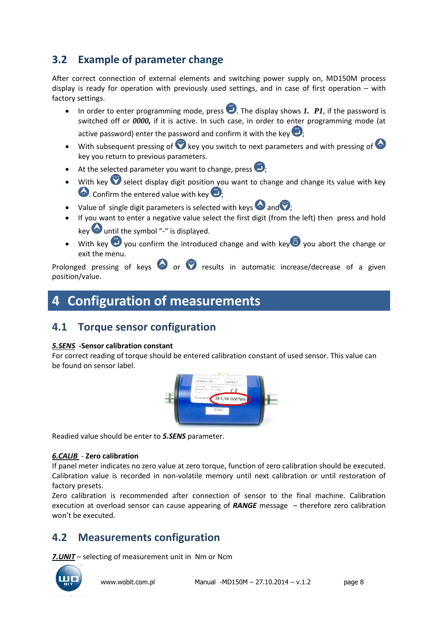### <span id="page-7-0"></span>**3.2 Example of parameter change**

After correct connection of external elements and switching power supply on, MD150M process display is ready for operation with previously used settings, and in case of first operation – with factory settings.

- In order to enter programming mode, press  $\Box$ . The display shows *1. P1*, if the password is switched off or *0000,* if it is active. In such case, in order to enter programming mode (at active password) enter the password and confirm it with the key  $\ddot{\bullet}$ :
- $\bullet$  With subsequent pressing of  $\bullet$  key you switch to next parameters and with pressing of  $\bullet$ key you return to previous parameters.
- At the selected parameter you want to change, press  $\bigcirc$ ,
- With key  $\bullet$  select display digit position you want to change and change its value with key  $\bullet$ . Confirm the entered value with key  $\bullet$
- Value of single digit parameters is selected with keys  $\bullet$  and  $\bullet$ ;
- If you want to enter a negative value select the first digit (from the left) then press and hold key until the symbol "-" is displayed.
- $\bullet$  With key  $\bullet$  you confirm the introduced change and with key  $\bullet$  you abort the change or exit the menu.

Prolonged pressing of keys  $\bullet$  or  $\bullet$  results in automatic increase/decrease of a given position/value.

# <span id="page-7-1"></span>**4 Configuration of measurements**

### <span id="page-7-2"></span>**4.1 Torque sensor configuration**

#### *5.SENS* **-Sensor calibration constant**

For correct reading of torque should be entered calibration constant of used sensor. This value can be found on sensor label.



Readied value should be enter to *5.SENS* parameter.

#### *6.CALIB* - **Zero calibration**

If panel meter indicates no zero value at zero torque, function of zero calibration should be executed. Calibration value is recorded in non-volatile memory until next calibration or until restoration of factory presets.

Zero calibration is recommended after connection of sensor to the final machine. Calibration execution at overload sensor can cause appearing of *RANGE* message – therefore zero calibration won't be executed.

### <span id="page-7-3"></span>**4.2 Measurements configuration**

*7.UNIT* – selecting of measurement unit in Nm or Ncm

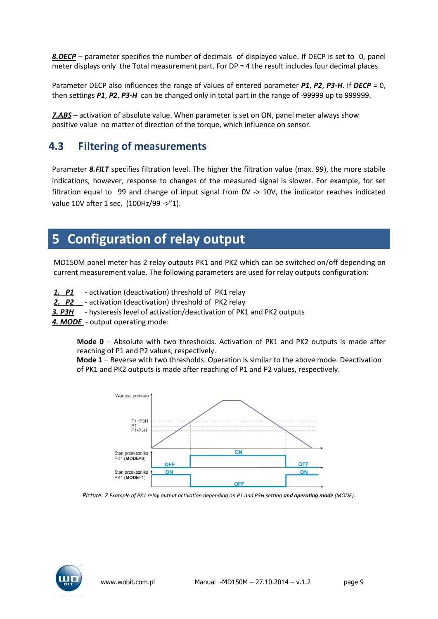*8.DECP* – parameter specifies the number of decimals of displayed value. If DECP is set to 0, panel meter displays only the Total measurement part. For DP = 4 the result includes four decimal places.

Parameter DECP also influences the range of values of entered parameter *P1*, *P2*, *P3-H*. If *DECP* = 0, then settings *P1*, *P2*, *P3-H* can be changed only in total part in the range of -99999 up to 999999.

*7.ABS* – activation of absolute value. When parameter is set on ON, panel meter always show positive value no matter of direction of the torque, which influence on sensor.

### <span id="page-8-0"></span>**4.3 Filtering of measurements**

Parameter **8.FILT** specifies filtration level. The higher the filtration value (max. 99), the more stabile indications, however, response to changes of the measured signal is slower. For example, for set filtration equal to 99 and change of input signal from 0V -> 10V, the indicator reaches indicated value 10V after 1 sec. (100Hz/99 ->"1).

### <span id="page-8-1"></span>**5 Configuration of relay output**

MD150M panel meter has 2 relay outputs PK1 and PK2 which can be switched on/off depending on current measurement value. The following parameters are used for relay outputs configuration:

- **P1** activation (deactivation) threshold of PK1 relay
- *2. P2*  activation (deactivation) threshold of PK2 relay

**3. P3H** - hysteresis level of activation/deactivation of PK1 and PK2 outputs

*4. MODE* - output operating mode:

**Mode 0** – Absolute with two thresholds. Activation of PK1 and PK2 outputs is made after reaching of P1 and P2 values, respectively.

**Mode 1** – Reverse with two thresholds. Operation is similar to the above mode. Deactivation of PK1 and PK2 outputs is made after reaching of P1 and P2 values, respectively.



*Picture. 2 Example of PK1 relay output activation depending on P1 and P3H setting and operating mode (MODE).* 

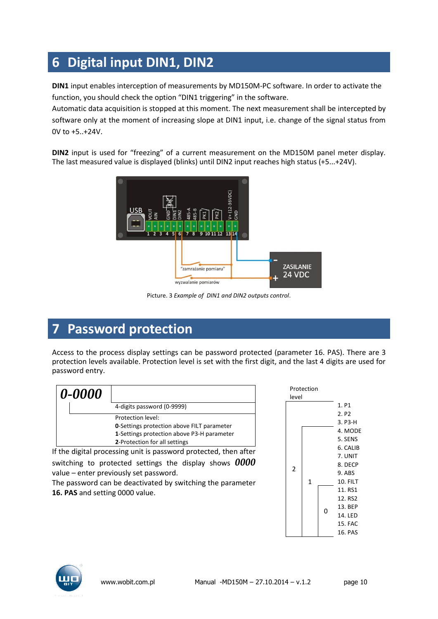# <span id="page-9-0"></span>**6 Digital input DIN1, DIN2**

**DIN1** input enables interception of measurements by MD150M-PC software. In order to activate the function, you should check the option "DIN1 triggering" in the software.

Automatic data acquisition is stopped at this moment. The next measurement shall be intercepted by software only at the moment of increasing slope at DIN1 input, i.e. change of the signal status from 0V to +5..+24V.

**DIN2** input is used for "freezing" of a current measurement on the MD150M panel meter display. The last measured value is displayed (blinks) until DIN2 input reaches high status (+5...+24V).



Picture. 3 *Example of DIN1 and DIN2 outputs control*.

# <span id="page-9-1"></span>**7 Password protection**

Access to the process display settings can be password protected (parameter 16. PAS). There are 3 protection levels available. Protection level is set with the first digit, and the last 4 digits are used for password entry.

| 0-0000 |                                                   |
|--------|---------------------------------------------------|
|        | 4-digits password (0-9999)                        |
|        | Protection level:                                 |
|        | <b>0-Settings protection above FILT parameter</b> |
|        | 1-Settings protection above P3-H parameter        |
|        | 2-Protection for all settings                     |

If the digital processing unit is password protected, then after

switching to protected settings the display shows *0000* value – enter previously set password.

The password can be deactivated by switching the parameter **16. PAS** and setting 0000 value.



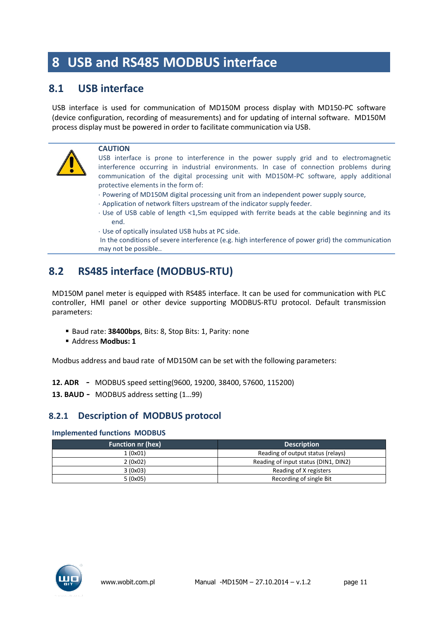# <span id="page-10-0"></span>**8 USB and RS485 MODBUS interface**

#### <span id="page-10-1"></span>**8.1 USB interface**

USB interface is used for communication of MD150M process display with MD150-PC software (device configuration, recording of measurements) and for updating of internal software. MD150M process display must be powered in order to facilitate communication via USB.



#### **CAUTION**

USB interface is prone to interference in the power supply grid and to electromagnetic interference occurring in industrial environments. In case of connection problems during communication of the digital processing unit with MD150M-PC software, apply additional protective elements in the form of:

- Powering of MD150M digital processing unit from an independent power supply source,
- Application of network filters upstream of the indicator supply feeder.
- Use of USB cable of length <1,5m equipped with ferrite beads at the cable beginning and its end.
- Use of optically insulated USB hubs at PC side.

In the conditions of severe interference (e.g. high interference of power grid) the communication may not be possible..

### <span id="page-10-2"></span>**8.2 RS485 interface (MODBUS-RTU)**

MD150M panel meter is equipped with RS485 interface. It can be used for communication with PLC controller, HMI panel or other device supporting MODBUS-RTU protocol. Default transmission parameters:

- Baud rate: **38400bps**, Bits: 8, Stop Bits: 1, Parity: none
- Address **Modbus: 1**

Modbus address and baud rate of MD150M can be set with the following parameters:

- **12. ADR** *-* MODBUS speed setting(9600, 19200, 38400, 57600, 115200)
- **13. BAUD** *-* MODBUS address setting (1…99)

#### <span id="page-10-3"></span>**8.2.1 Description of MODBUS protocol**

#### **Implemented functions MODBUS**

| <b>Function nr (hex)</b> | <b>Description</b>                   |
|--------------------------|--------------------------------------|
| 1(0x01)                  | Reading of output status (relays)    |
| 2(0x02)                  | Reading of input status (DIN1, DIN2) |
| 3(0x03)                  | Reading of X registers               |
| 5(0x05)                  | Recording of single Bit              |